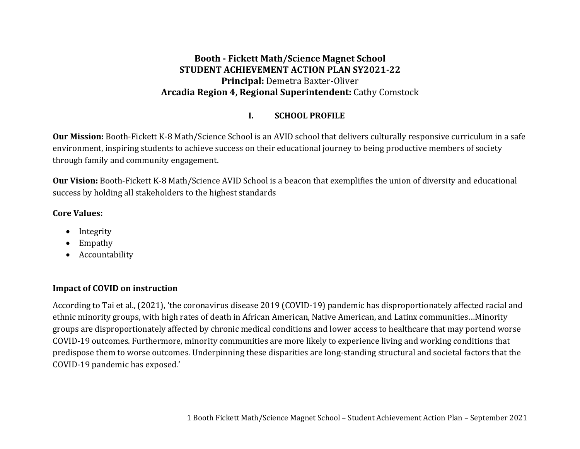#### **Booth ‐ Fickett Math/Science Magnet School STUDENT ACHIEVEMENT ACTION PLAN SY2021‐22 Principal:** Demetra Baxter-Oliver **Arcadia Region 4, Regional Superintendent:** Cathy Comstock

#### **I.SCHOOL PROFILE**

**Our Mission:** Booth-Fickett K-8 Math/Science School is an AVID school that delivers culturally responsive curriculum in a safe environment, inspiring students to achieve success on their educational journey to being productive members of society through family and community engagement.

**Our Vision:** Booth-Fickett K-8 Math/Science AVID School is a beacon that exemplifies the union of diversity and educational success by holding all stakeholders to the highest standards

#### **Core Values:**

- . Integrity
- $\bullet$ Empathy
- Accountability

### **Impact of COVID on instruction**

According to Tai et al., (2021), 'the coronavirus disease 2019 (COVID-19) pandemic has disproportionately affected racial and ethnic minority groups, with high rates of death in African American, Native American, and Latinx communities…Minority groups are disproportionately affected by chronic medical conditions and lower access to healthcare that may portend worse COVID-19 outcomes. Furthermore, minority communities are more likely to experience living and working conditions that predispose them to worse outcomes. Underpinning these disparities are long-standing structural and societal factors that the COVID-19 pandemic has exposed.'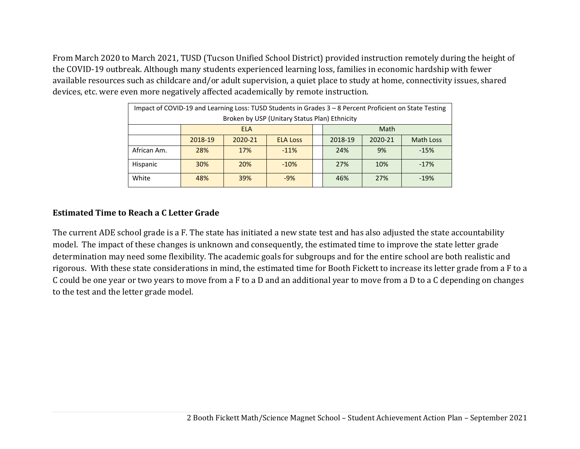From March 2020 to March 2021, TUSD (Tucson Unified School District) provided instruction remotely during the height of the COVID-19 outbreak. Although many students experienced learning loss, families in economic hardship with fewer available resources such as childcare and/or adult supervision, a quiet place to study at home, connectivity issues, shared devices, etc. were even more negatively affected academically by remote instruction.

| Impact of COVID-19 and Learning Loss: TUSD Students in Grades 3 - 8 Percent Proficient on State Testing |                                             |         |                 |  |         |         |           |  |  |  |  |
|---------------------------------------------------------------------------------------------------------|---------------------------------------------|---------|-----------------|--|---------|---------|-----------|--|--|--|--|
| Broken by USP (Unitary Status Plan) Ethnicity                                                           |                                             |         |                 |  |         |         |           |  |  |  |  |
|                                                                                                         | Math<br><b>ELA</b>                          |         |                 |  |         |         |           |  |  |  |  |
|                                                                                                         | 2018-19                                     | 2020-21 | <b>ELA Loss</b> |  | 2018-19 | 2020-21 | Math Loss |  |  |  |  |
| African Am.                                                                                             | 28%                                         | 17%     | $-11%$          |  | 24%     | 9%      | $-15%$    |  |  |  |  |
| Hispanic                                                                                                | <b>30%</b>                                  | 20%     | $-10%$          |  | 27%     | 10%     | $-17%$    |  |  |  |  |
| White                                                                                                   | 39%<br>48%<br>27%<br>$-9%$<br>46%<br>$-19%$ |         |                 |  |         |         |           |  |  |  |  |

#### **Estimated Time to Reach <sup>a</sup> C Letter Grade**

The current ADE school grade is a F. The state has initiated a new state test and has also adjusted the state accountability model. The impact of these changes is unknown and consequently, the estimated time to improve the state letter grade determination may need some flexibility. The academic goals for subgroups and for the entire school are both realistic and rigorous. With these state considerations in mind, the estimated time for Booth Fickett to increase its letter grade from a F to a C could be one year or two years to move from a F to a D and an additional year to move from a D to a C depending on changes to the test and the letter grade model.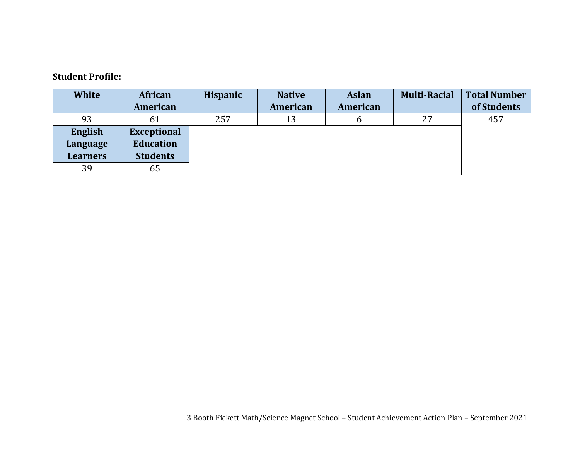#### **Student Profile:**

| <b>White</b>    | African            | <b>Hispanic</b> | <b>Native</b> | <b>Asian</b> | <b>Multi-Racial</b> | <b>Total Number</b> |
|-----------------|--------------------|-----------------|---------------|--------------|---------------------|---------------------|
|                 | American           |                 | American      | American     |                     | of Students         |
| 93              | 61                 | 257             | 13            | b            | 27                  | 457                 |
| English         | <b>Exceptional</b> |                 |               |              |                     |                     |
| Language        | <b>Education</b>   |                 |               |              |                     |                     |
| <b>Learners</b> | <b>Students</b>    |                 |               |              |                     |                     |
| 39              | 65                 |                 |               |              |                     |                     |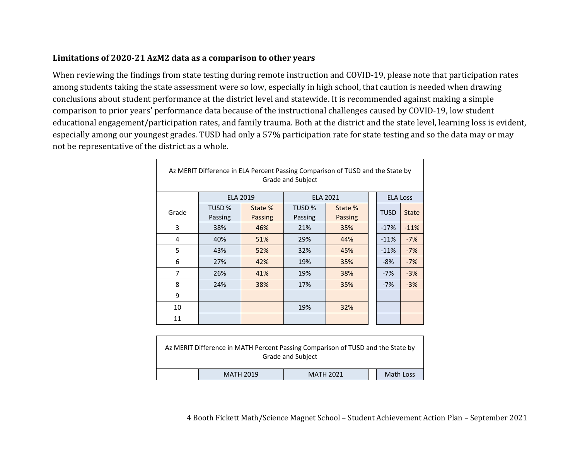#### **Limitations of 2020‐21 AzM2 data as <sup>a</sup> comparison to other years**

When reviewing the findings from state testing during remote instruction and COVID-19, please note that participation rates among students taking the state assessment were so low, especially in high school, that caution is needed when drawing conclusions about student performance at the district level and statewide. It is recommended against making a simple comparison to prior years' performance data because of the instructional challenges caused by COVID-19, low student educational engagement/participation rates, and family trauma. Both at the district and the state level, learning loss is evident, especially among our youngest grades. TUSD had only a 57% participation rate for state testing and so the data may or may not be representative of the district as a whole.

| Az MERIT Difference in ELA Percent Passing Comparison of TUSD and the State by<br>Grade and Subject |                   |                    |                              |                    |  |                 |              |  |  |  |
|-----------------------------------------------------------------------------------------------------|-------------------|--------------------|------------------------------|--------------------|--|-----------------|--------------|--|--|--|
|                                                                                                     |                   | <b>ELA 2019</b>    |                              | <b>ELA 2021</b>    |  | <b>ELA Loss</b> |              |  |  |  |
| Grade                                                                                               | TUSD %<br>Passing | State %<br>Passing | TUSD <sub>%</sub><br>Passing | State %<br>Passing |  | <b>TUSD</b>     | <b>State</b> |  |  |  |
| 3                                                                                                   | 38%               | 46%                | 21%                          | 35%                |  | $-17%$          | $-11%$       |  |  |  |
| 4                                                                                                   | 40%               | 51%                | 29%                          | 44%                |  | $-11%$          | $-7%$        |  |  |  |
| 5                                                                                                   | 43%               | 52%                | 32%                          | 45%                |  | $-11%$          | $-7%$        |  |  |  |
| 6                                                                                                   | 27%               | 42%                | 19%                          | 35%                |  | -8%             | $-7%$        |  |  |  |
| 7                                                                                                   | 26%               | 41%                | 19%                          | 38%                |  | $-7%$           | $-3%$        |  |  |  |
| 8                                                                                                   | 24%               | 38%                | 17%                          | 35%                |  | $-7%$           | $-3%$        |  |  |  |
| 9                                                                                                   |                   |                    |                              |                    |  |                 |              |  |  |  |
| 10                                                                                                  |                   |                    | 19%                          | 32%                |  |                 |              |  |  |  |
| 11                                                                                                  |                   |                    |                              |                    |  |                 |              |  |  |  |

|                                                   |  | Az MERIT Difference in MATH Percent Passing Comparison of TUSD and the State by<br><b>Grade and Subject</b> |  |  |  |  |  |  |  |  |
|---------------------------------------------------|--|-------------------------------------------------------------------------------------------------------------|--|--|--|--|--|--|--|--|
| Math Loss<br><b>MATH 2019</b><br><b>MATH 2021</b> |  |                                                                                                             |  |  |  |  |  |  |  |  |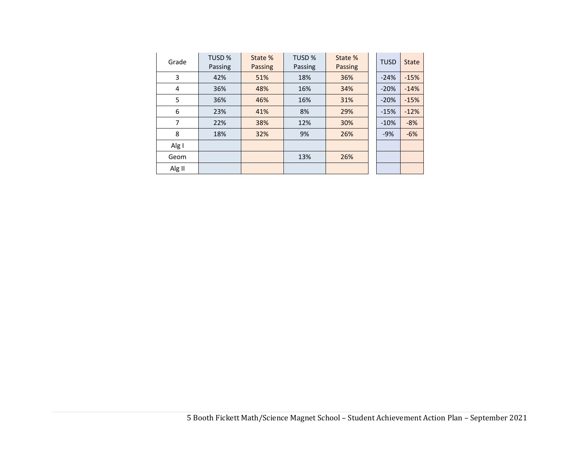| Grade  | TUSD %<br>Passing | State %<br>Passing | TUSD %<br>Passing | State %<br>Passing | <b>TUSD</b> | <b>State</b> |
|--------|-------------------|--------------------|-------------------|--------------------|-------------|--------------|
| 3      | 42%               | 51%                | 18%               | 36%                | $-24%$      | $-15%$       |
| 4      | 36%               | 48%                | 16%               | 34%                | $-20%$      | $-14%$       |
| 5      | 36%               | 46%                | 16%               | 31%                | $-20%$      | $-15%$       |
| 6      | 23%               | 41%                | 8%                | 29%                | $-15%$      | $-12%$       |
| 7      | 22%               | 38%                | 12%               | 30%                | $-10%$      | $-8%$        |
| 8      | 18%               | 32%                | 9%                | 26%                | $-9%$       | $-6%$        |
| Alg I  |                   |                    |                   |                    |             |              |
| Geom   |                   |                    | 13%               | 26%                |             |              |
| Alg II |                   |                    |                   |                    |             |              |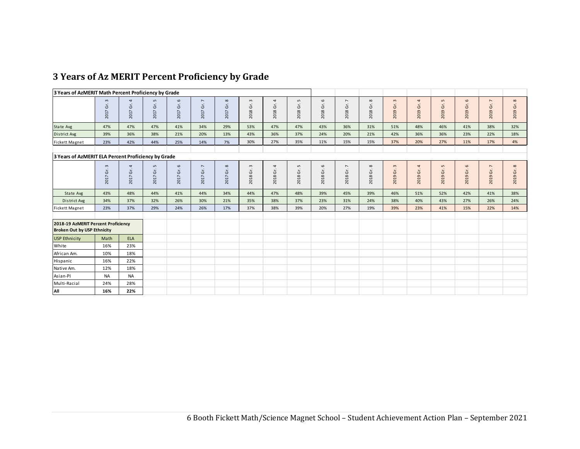|  |  |  |  |  | 3 Years of Az MERIT Percent Proficiency by Grade |  |  |
|--|--|--|--|--|--------------------------------------------------|--|--|
|--|--|--|--|--|--------------------------------------------------|--|--|

| 3 Years of AzMERIT Math Percent Proficiency by Grade                      |                          |                  |                                 |                             |                                         |                                          |                                               |                        |                             |                                 |                               |                      |                             |                                     |                             |                                 |                  |                                      |
|---------------------------------------------------------------------------|--------------------------|------------------|---------------------------------|-----------------------------|-----------------------------------------|------------------------------------------|-----------------------------------------------|------------------------|-----------------------------|---------------------------------|-------------------------------|----------------------|-----------------------------|-------------------------------------|-----------------------------|---------------------------------|------------------|--------------------------------------|
|                                                                           | Gr.3<br>2017             | 4<br>Gr.<br>2017 | $\mathsf{L}\cap$<br>Gr.<br>2017 | 6<br>Gr.<br>2017            | $\overline{\phantom{a}}$<br>Gr.<br>2017 | $\infty$<br>$\mathfrak{\dot{5}}$<br>2017 | $\sim$<br>$\tilde{\mathfrak{s}}$<br>2018      | 4<br>$\dot{5}$<br>2018 | L<br>Ğ.<br>2018             | $\mathbf \omega$<br>Gr.<br>2018 | $\overline{ }$<br>Gr.<br>2018 | Gr. 8<br>2018        | $\mathsf{m}$<br>Gr.<br>2019 | $\overline{\mathbf{r}}$<br>2019 Gr. | $\mathsf{L}$<br>Ġr.<br>2019 | $\mathbf \omega$<br>Ġ.<br>2019  | 7<br>Gr.<br>2019 | Gr. 8<br>2019                        |
| State Avg                                                                 | 47%                      | 47%              | 47%                             | 41%                         | 34%                                     | 29%                                      | 53%                                           | 47%                    | 47%                         | 43%                             | 36%                           | 31%                  | 51%                         | 48%                                 | 46%                         | 41%                             | 38%              | 32%                                  |
| District Avg                                                              | 39%                      | 36%              | 38%                             | 21%                         | 20%                                     | 13%                                      | 43%                                           | 36%                    | 37%                         | 24%                             | 20%                           | 21%                  | 42%                         | 36%                                 | 36%                         | 23%                             | 22%              | 18%                                  |
| <b>Fickett Magnet</b>                                                     | 23%                      | 42%              | 44%                             | 25%                         | 14%                                     | 7%                                       | 30%                                           | 27%                    | 35%                         | 11%                             | 15%                           | 15%                  | 37%                         | 20%                                 | 27%                         | 11%                             | 17%              | 4%                                   |
| 3 Years of AzMERIT ELA Percent Proficiency by Grade                       |                          |                  |                                 |                             |                                         |                                          |                                               |                        |                             |                                 |                               |                      |                             |                                     |                             |                                 |                  |                                      |
|                                                                           | $\mathsf{S}$<br>2017 Gr. | 4<br>Ġr.<br>2017 | $\mathsf{L}\cap$<br>Gr.<br>2017 | 6<br>$\mathfrak{S}$<br>2017 | $\overline{\phantom{a}}$<br>2017 Gr.    | $\infty$<br>Ġŕ.<br>2017                  | $\mathsf m$<br>$\tilde{\mathfrak{s}}$<br>2018 | 4<br>2018 Gr.          | L<br>$\rm\acute{e}$<br>2018 | 6<br>2018 Gr.                   | $\overline{ }$<br>Gr.<br>2018 | $\infty$<br>2018 Gr. | $\mathsf m$<br>Gr.<br>2019  | $\overline{\mathbf{a}}$<br>2019 Gr. | $\mathsf{L}$<br>2019 Gr.    | $\mathbf \omega$<br>Gr.<br>2019 | 7<br>Gr.<br>2019 | $\infty$<br>$\tilde{\sigma}$<br>2019 |
| State Avg                                                                 | 43%                      | 48%              | 44%                             | 41%                         | 44%                                     | 34%                                      | 44%                                           | 47%                    | 48%                         | 39%                             | 45%                           | 39%                  | 46%                         | 51%                                 | 52%                         | 42%                             | 41%              | 38%                                  |
| District Avg                                                              | 34%                      | 37%              | 32%                             | 26%                         | 30%                                     | 21%                                      | 35%                                           | 38%                    | 37%                         | 23%                             | 31%                           | 24%                  | 38%                         | 40%                                 | 43%                         | 27%                             | 26%              | 24%                                  |
| <b>Fickett Magnet</b>                                                     | 23%                      | 37%              | 29%                             | 24%                         | 26%                                     | 17%                                      | 37%                                           | 38%                    | 39%                         | 20%                             | 27%                           | 19%                  | 39%                         | 23%                                 | 41%                         | 15%                             | 22%              | 14%                                  |
| 2018-19 AzMERIT Percent Proficiency<br><b>Broken Out by USP Ethnicity</b> |                          |                  |                                 |                             |                                         |                                          |                                               |                        |                             |                                 |                               |                      |                             |                                     |                             |                                 |                  |                                      |
| <b>USP Ethnicity</b>                                                      | Math                     | <b>ELA</b>       |                                 |                             |                                         |                                          |                                               |                        |                             |                                 |                               |                      |                             |                                     |                             |                                 |                  |                                      |
| White                                                                     | 16%                      | 23%              |                                 |                             |                                         |                                          |                                               |                        |                             |                                 |                               |                      |                             |                                     |                             |                                 |                  |                                      |
| African Am.                                                               | 10%                      | 18%              |                                 |                             |                                         |                                          |                                               |                        |                             |                                 |                               |                      |                             |                                     |                             |                                 |                  |                                      |
| Hispanic                                                                  | 16%                      | 22%              |                                 |                             |                                         |                                          |                                               |                        |                             |                                 |                               |                      |                             |                                     |                             |                                 |                  |                                      |
| Native Am.                                                                | 12%                      | 18%              |                                 |                             |                                         |                                          |                                               |                        |                             |                                 |                               |                      |                             |                                     |                             |                                 |                  |                                      |
| Asian-Pl                                                                  | <b>NA</b>                | <b>NA</b>        |                                 |                             |                                         |                                          |                                               |                        |                             |                                 |                               |                      |                             |                                     |                             |                                 |                  |                                      |
| Multi-Racial                                                              | 24%                      | 28%              |                                 |                             |                                         |                                          |                                               |                        |                             |                                 |                               |                      |                             |                                     |                             |                                 |                  |                                      |
| All                                                                       | 16%                      | 22%              |                                 |                             |                                         |                                          |                                               |                        |                             |                                 |                               |                      |                             |                                     |                             |                                 |                  |                                      |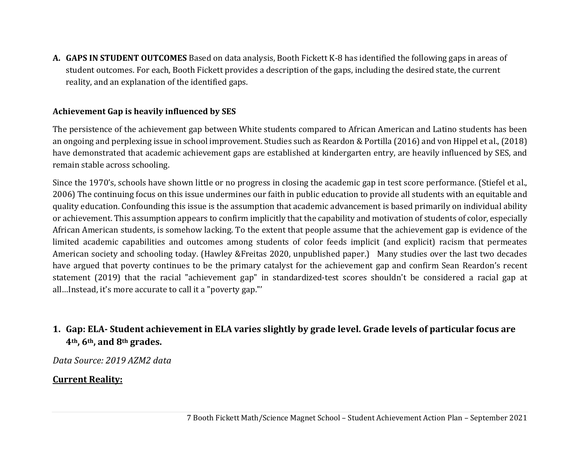**A. GAPS IN STUDENT OUTCOMES** Based on data analysis, Booth Fickett K-8 has identified the following gaps in areas of student outcomes. For each, Booth Fickett provides a description of the gaps, including the desired state, the current reality, and an explanation of the identified gaps.

#### **Achievement Gap is heavily influenced by SES**

The persistence of the achievement gap between White students compared to African American and Latino students has been an ongoing and perplexing issue in school improvement. Studies such as Reardon & Portilla (2016) and von Hippel et al., (2018) have demonstrated that academic achievement gaps are established at kindergarten entry, are heavily influenced by SES, and remain stable across schooling.

Since the 1970's, schools have shown little or no progress in closing the academic gap in test score performance. (Stiefel et al., 2006) The continuing focus on this issue undermines our faith in public education to provide all students with an equitable and quality education. Confounding this issue is the assumption that academic advancement is based primarily on individual ability or achievement. This assumption appears to confirm implicitly that the capability and motivation of students of color, especially African American students, is somehow lacking. To the extent that people assume that the achievement gap is evidence of the limited academic capabilities and outcomes among students of color feeds implicit (and explicit) racism that permeates American society and schooling today. (Hawley &Freitas 2020, unpublished paper.) Many studies over the last two decades have argued that poverty continues to be the primary catalyst for the achievement gap and confirm Sean Reardon's recent statement (2019) that the racial "achievement gap" in standardized-test scores shouldn't be considered a racial gap at all…Instead, it's more accurate to call it a "poverty gap."'

# 1. Gap: ELA- Student achievement in ELA varies slightly by grade level. Grade levels of particular focus are **4th, 6th, and 8th grades.**

*Data Source: 2019 AZM2 data*

### **Current Reality:**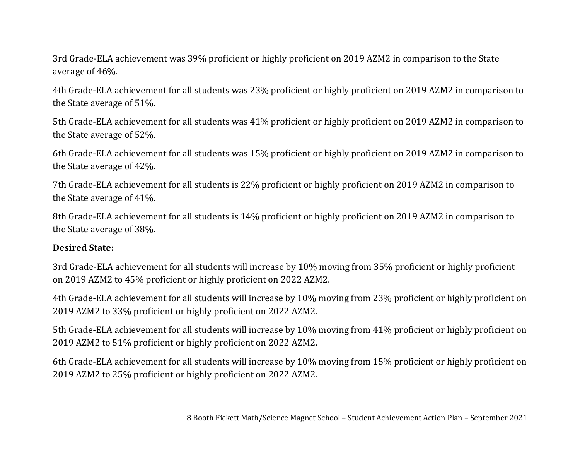3rd Grade-ELA achievement was 39% proficient or highly proficient on 2019 AZM2 in comparison to the State average of 46%.

4th Grade-ELA achievement for all students was 23% proficient or highly proficient on 2019 AZM2 in comparison to the State average of 51%.

5th Grade-ELA achievement for all students was 41% proficient or highly proficient on 2019 AZM2 in comparison to the State average of 52%.

6th Grade-ELA achievement for all students was 15% proficient or highly proficient on 2019 AZM2 in comparison to the State average of 42%.

7th Grade-ELA achievement for all students is 22% proficient or highly proficient on 2019 AZM2 in comparison to the State average of 41%.

8th Grade-ELA achievement for all students is 14% proficient or highly proficient on 2019 AZM2 in comparison to the State average of 38%.

#### **Desired State:**

3rd Grade-ELA achievement for all students will increase by 10% moving from 35% proficient or highly proficient on 2019 AZM2 to 45% proficient or highly proficient on 2022 AZM2.

4th Grade-ELA achievement for all students will increase by 10% moving from 23% proficient or highly proficient on 2019 AZM2 to 33% proficient or highly proficient on 2022 AZM2.

5th Grade-ELA achievement for all students will increase by 10% moving from 41% proficient or highly proficient on 2019 AZM2 to 51% proficient or highly proficient on 2022 AZM2.

6th Grade-ELA achievement for all students will increase by 10% moving from 15% proficient or highly proficient on 2019 AZM2 to 25% proficient or highly proficient on 2022 AZM2.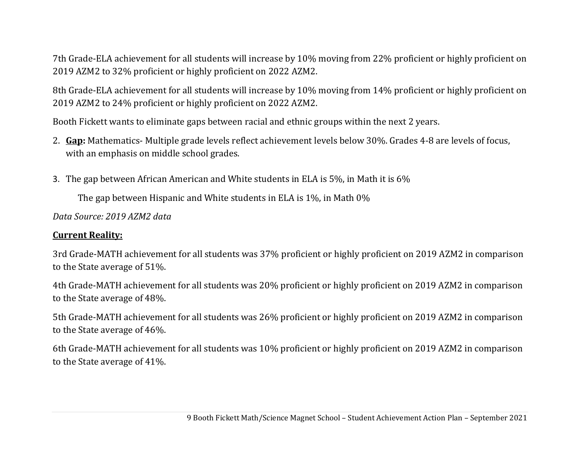7th Grade-ELA achievement for all students will increase by 10% moving from 22% proficient or highly proficient on 2019 AZM2 to 32% proficient or highly proficient on 2022 AZM2.

8th Grade-ELA achievement for all students will increase by 10% moving from 14% proficient or highly proficient on 2019 AZM2 to 24% proficient or highly proficient on 2022 AZM2.

Booth Fickett wants to eliminate gaps between racial and ethnic groups within the next 2 years.

- 2. **Gap:** Mathematics- Multiple grade levels reflect achievement levels below 30%. Grades 4-8 are levels of focus, with an emphasis on middle school grades.
- 3. The gap between African American and White students in ELA is 5%, in Math it is 6%

The gap between Hispanic and White students in ELA is 1%, in Math 0%

*Data Source: 2019 AZM2 data*

#### **Current Reality:**

3rd Grade-MATH achievement for all students was 37% proficient or highly proficient on 2019 AZM2 in comparison to the State average of 51%.

4th Grade-MATH achievement for all students was 20% proficient or highly proficient on 2019 AZM2 in comparison to the State average of 48%.

5th Grade-MATH achievement for all students was 26% proficient or highly proficient on 2019 AZM2 in comparison to the State average of 46%.

6th Grade-MATH achievement for all students was 10% proficient or highly proficient on 2019 AZM2 in comparison to the State average of 41%.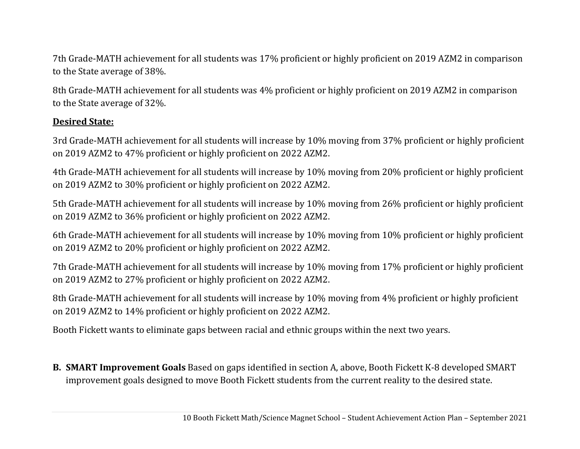7th Grade-MATH achievement for all students was 17% proficient or highly proficient on 2019 AZM2 in comparison to the State average of 38%.

8th Grade-MATH achievement for all students was 4% proficient or highly proficient on 2019 AZM2 in comparison to the State average of 32%.

### **Desired State:**

3rd Grade-MATH achievement for all students will increase by 10% moving from 37% proficient or highly proficient on 2019 AZM2 to 47% proficient or highly proficient on 2022 AZM2.

4th Grade-MATH achievement for all students will increase by 10% moving from 20% proficient or highly proficient on 2019 AZM2 to 30% proficient or highly proficient on 2022 AZM2.

5th Grade-MATH achievement for all students will increase by 10% moving from 26% proficient or highly proficient on 2019 AZM2 to 36% proficient or highly proficient on 2022 AZM2.

6th Grade-MATH achievement for all students will increase by 10% moving from 10% proficient or highly proficient on 2019 AZM2 to 20% proficient or highly proficient on 2022 AZM2.

7th Grade-MATH achievement for all students will increase by 10% moving from 17% proficient or highly proficient on 2019 AZM2 to 27% proficient or highly proficient on 2022 AZM2.

8th Grade-MATH achievement for all students will increase by 10% moving from 4% proficient or highly proficient on 2019 AZM2 to 14% proficient or highly proficient on 2022 AZM2.

Booth Fickett wants to eliminate gaps between racial and ethnic groups within the next two years.

**B. SMART Improvement Goals** Based on gaps identified in section A, above, Booth Fickett K-8 developed SMART improvement goals designed to move Booth Fickett students from the current reality to the desired state.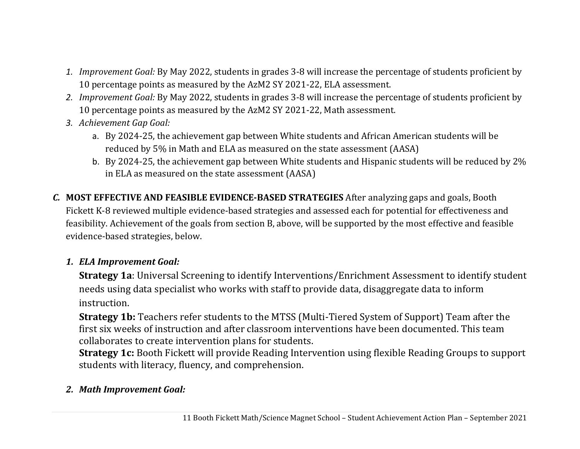- *1. Improvement Goal:* By May 2022, students in grades 3-8 will increase the percentage of students proficient by 10 percentage points as measured by the AzM2 SY 2021-22, ELA assessment.
- *2. Improvement Goal:* By May 2022, students in grades 3-8 will increase the percentage of students proficient by 10 percentage points as measured by the AzM2 SY 2021-22, Math assessment.
- *3. Achievement Gap Goal:*
	- a. By 2024-25, the achievement gap between White students and African American students will be reduced by 5% in Math and ELA as measured on the state assessment (AASA)
	- b. By 2024-25, the achievement gap between White students and Hispanic students will be reduced by 2% in ELA as measured on the state assessment (AASA)
- *C.* **MOST EFFECTIVE AND FEASIBLE EVIDENCE‐BASED STRATEGIES** After analyzing gaps and goals, Booth Fickett K-8 reviewed multiple evidence-based strategies and assessed each for potential for effectiveness and feasibility. Achievement of the goals from section B, above, will be supported by the most effective and feasible evidence-based strategies, below.

## *1. ELA Improvement Goal:*

**Strategy 1a**: Universal Screening to identify Interventions/Enrichment Assessment to identify student needs using data specialist who works with staff to provide data, disaggregate data to inform instruction.

**Strategy 1b:** Teachers refer students to the MTSS (Multi-Tiered System of Support) Team after the first six weeks of instruction and after classroom interventions have been documented. This team collaborates to create intervention plans for students.

**Strategy 1c:** Booth Fickett will provide Reading Intervention using flexible Reading Groups to support students with literacy, fluency, and comprehension.

# *2. Math Improvement Goal:*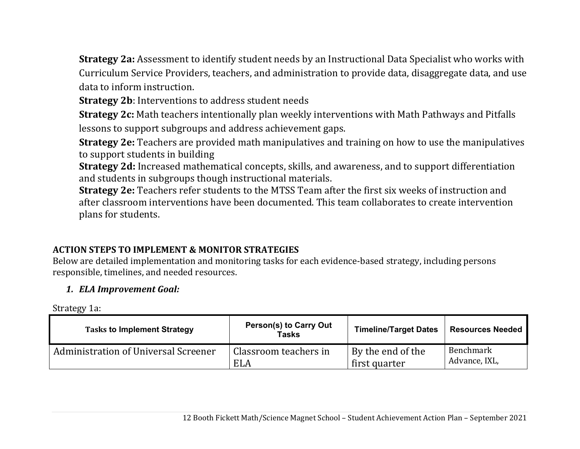**Strategy 2a:** Assessment to identify student needs by an Instructional Data Specialist who works with Curriculum Service Providers, teachers, and administration to provide data, disaggregate data, and use data to inform instruction.

**Strategy 2b**: Interventions to address student needs

**Strategy 2c:** Math teachers intentionally plan weekly interventions with Math Pathways and Pitfalls lessons to support subgroups and address achievement gaps.

**Strategy 2e:** Teachers are provided math manipulatives and training on how to use the manipulatives to support students in building

**Strategy 2d:** Increased mathematical concepts, skills, and awareness, and to support differentiation and students in subgroups though instructional materials.

**Strategy 2e:** Teachers refer students to the MTSS Team after the first six weeks of instruction and after classroom interventions have been documented. This team collaborates to create intervention plans for students.

## **ACTION STEPS TO IMPLEMENT & MONITOR STRATEGIES**

Below are detailed implementation and monitoring tasks for each evidence-based strategy, including persons responsible, timelines, and needed resources.

## *1. ELA Improvement Goal:*

Strategy 1a:

| <b>Tasks to Implement Strategy</b>   | Person(s) to Carry Out<br>Tasks | <b>Timeline/Target Dates</b> | <b>Resources Needed</b> |
|--------------------------------------|---------------------------------|------------------------------|-------------------------|
| Administration of Universal Screener | Classroom teachers in           | By the end of the            | Benchmark               |
|                                      | <b>ELA</b>                      | first quarter                | Advance, IXL,           |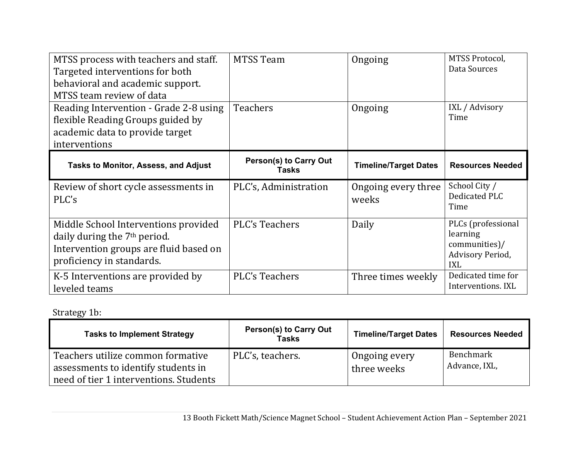| MTSS process with teachers and staff.<br>Targeted interventions for both<br>behavioral and academic support.<br>MTSS team review of data                | <b>MTSS Team</b>                              | Ongoing                      | MTSS Protocol,<br>Data Sources                                                    |
|---------------------------------------------------------------------------------------------------------------------------------------------------------|-----------------------------------------------|------------------------------|-----------------------------------------------------------------------------------|
| Reading Intervention - Grade 2-8 using<br>flexible Reading Groups guided by<br>academic data to provide target<br>interventions                         | <b>Teachers</b>                               | Ongoing                      | IXL / Advisory<br>Time                                                            |
| <b>Tasks to Monitor, Assess, and Adjust</b>                                                                                                             | <b>Person(s) to Carry Out</b><br><b>Tasks</b> | <b>Timeline/Target Dates</b> | <b>Resources Needed</b>                                                           |
|                                                                                                                                                         |                                               |                              |                                                                                   |
| Review of short cycle assessments in<br>PLC's                                                                                                           | PLC's, Administration                         | Ongoing every three<br>weeks | School City /<br>Dedicated PLC<br>Time                                            |
| Middle School Interventions provided<br>daily during the 7 <sup>th</sup> period.<br>Intervention groups are fluid based on<br>proficiency in standards. | <b>PLC's Teachers</b>                         | Daily                        | PLCs (professional<br>learning<br>communities)/<br>Advisory Period,<br><b>IXL</b> |

# Strategy 1b:

| <b>Tasks to Implement Strategy</b>                                                                                 | <b>Person(s) to Carry Out</b><br>Tasks | <b>Timeline/Target Dates</b> | <b>Resources Needed</b>    |
|--------------------------------------------------------------------------------------------------------------------|----------------------------------------|------------------------------|----------------------------|
| Teachers utilize common formative<br>assessments to identify students in<br>need of tier 1 interventions. Students | PLC's, teachers.                       | Ongoing every<br>three weeks | Benchmark<br>Advance, IXL, |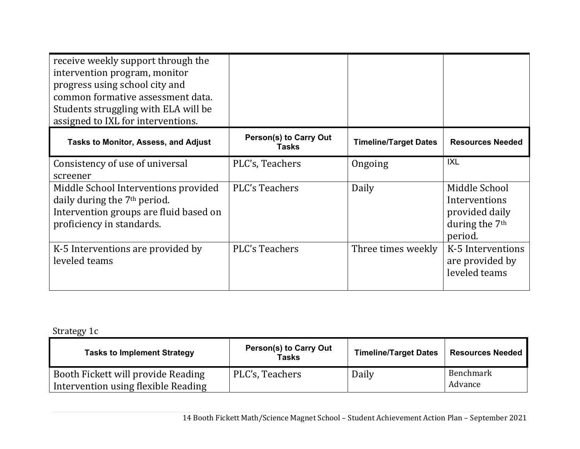| receive weekly support through the<br>intervention program, monitor<br>progress using school city and<br>common formative assessment data.<br>Students struggling with ELA will be<br>assigned to IXL for interventions. |                                               |                              |                                                                                           |
|--------------------------------------------------------------------------------------------------------------------------------------------------------------------------------------------------------------------------|-----------------------------------------------|------------------------------|-------------------------------------------------------------------------------------------|
| <b>Tasks to Monitor, Assess, and Adjust</b>                                                                                                                                                                              | <b>Person(s) to Carry Out</b><br><b>Tasks</b> | <b>Timeline/Target Dates</b> | <b>Resources Needed</b>                                                                   |
| Consistency of use of universal<br>screener                                                                                                                                                                              | PLC's, Teachers                               | Ongoing                      | <b>IXL</b>                                                                                |
| Middle School Interventions provided<br>daily during the 7 <sup>th</sup> period.<br>Intervention groups are fluid based on<br>proficiency in standards.                                                                  | <b>PLC's Teachers</b>                         | Daily                        | Middle School<br>Interventions<br>provided daily<br>during the 7 <sup>th</sup><br>period. |
| K-5 Interventions are provided by<br>leveled teams                                                                                                                                                                       | <b>PLC's Teachers</b>                         | Three times weekly           | K-5 Interventions<br>are provided by<br>leveled teams                                     |

# Strategy 1c

| <b>Tasks to Implement Strategy</b>                                        | <b>Person(s) to Carry Out</b><br>Tasks | <b>Timeline/Target Dates</b> | <b>Resources Needed</b> |  |
|---------------------------------------------------------------------------|----------------------------------------|------------------------------|-------------------------|--|
| Booth Fickett will provide Reading<br>Intervention using flexible Reading | PLC's, Teachers                        | Daily                        | Benchmark<br>Advance    |  |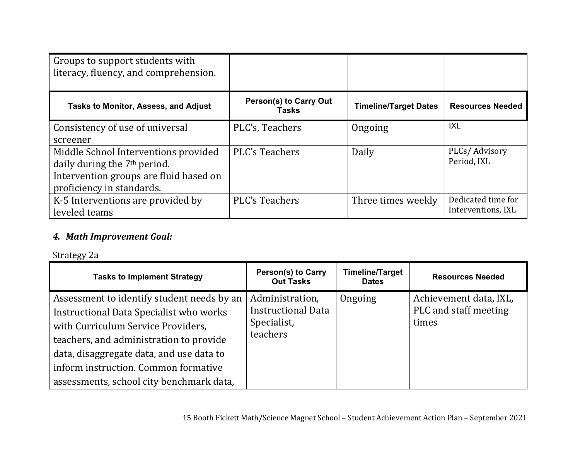| Groups to support students with<br>literacy, fluency, and comprehension. |                                               |                              |                         |
|--------------------------------------------------------------------------|-----------------------------------------------|------------------------------|-------------------------|
| <b>Tasks to Monitor, Assess, and Adjust</b>                              | <b>Person(s) to Carry Out</b><br><b>Tasks</b> | <b>Timeline/Target Dates</b> | <b>Resources Needed</b> |
| Consistency of use of universal                                          | PLC's, Teachers                               | Ongoing                      | <b>IXL</b>              |
| screener                                                                 |                                               |                              |                         |
| Middle School Interventions provided                                     | PLC's Teachers                                | Daily                        | PLCs/Advisory           |
| daily during the 7 <sup>th</sup> period.                                 |                                               |                              | Period, IXL             |
| Intervention groups are fluid based on                                   |                                               |                              |                         |
| proficiency in standards.                                                |                                               |                              |                         |
| K-5 Interventions are provided by                                        | <b>PLC's Teachers</b>                         | Three times weekly           | Dedicated time for      |
| leveled teams                                                            |                                               |                              | Interventions, IXL      |

### *4. Math Improvement Goal:*

### Strategy 2a

| <b>Tasks to Implement Strategy</b>                                                                                                                                                                                                                                                                            | <b>Person(s) to Carry</b><br><b>Out Tasks</b>                           | <b>Timeline/Target</b><br><b>Dates</b> | <b>Resources Needed</b>                                  |
|---------------------------------------------------------------------------------------------------------------------------------------------------------------------------------------------------------------------------------------------------------------------------------------------------------------|-------------------------------------------------------------------------|----------------------------------------|----------------------------------------------------------|
| Assessment to identify student needs by an<br><b>Instructional Data Specialist who works</b><br>with Curriculum Service Providers,<br>teachers, and administration to provide<br>data, disaggregate data, and use data to<br>inform instruction. Common formative<br>assessments, school city benchmark data, | Administration,<br><b>Instructional Data</b><br>Specialist,<br>teachers | Ongoing                                | Achievement data, IXL,<br>PLC and staff meeting<br>times |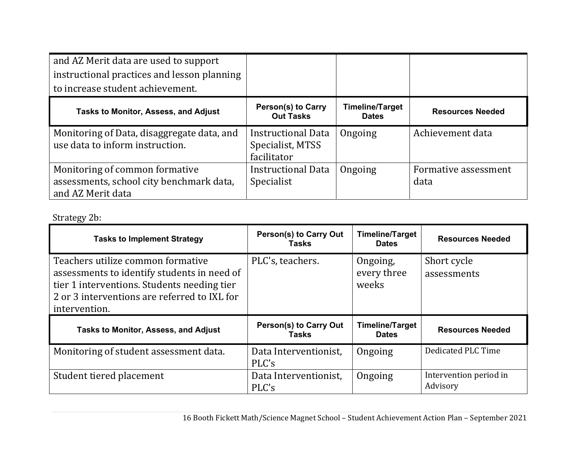| and AZ Merit data are used to support<br>instructional practices and lesson planning<br>to increase student achievement. |                                                              |                                        |                              |
|--------------------------------------------------------------------------------------------------------------------------|--------------------------------------------------------------|----------------------------------------|------------------------------|
| <b>Tasks to Monitor, Assess, and Adjust</b>                                                                              | <b>Person(s) to Carry</b><br><b>Out Tasks</b>                | <b>Timeline/Target</b><br><b>Dates</b> | <b>Resources Needed</b>      |
| Monitoring of Data, disaggregate data, and<br>use data to inform instruction.                                            | <b>Instructional Data</b><br>Specialist, MTSS<br>facilitator | Ongoing                                | Achievement data             |
| Monitoring of common formative<br>assessments, school city benchmark data,<br>and AZ Merit data                          | <b>Instructional Data</b><br>Specialist                      | Ongoing                                | Formative assessment<br>data |

# Strategy 2b:

| <b>Tasks to Implement Strategy</b>                                                                                                                                                               | <b>Person(s) to Carry Out</b><br>Tasks | <b>Timeline/Target</b><br><b>Dates</b> | <b>Resources Needed</b>            |
|--------------------------------------------------------------------------------------------------------------------------------------------------------------------------------------------------|----------------------------------------|----------------------------------------|------------------------------------|
| Teachers utilize common formative<br>assessments to identify students in need of<br>tier 1 interventions. Students needing tier<br>2 or 3 interventions are referred to IXL for<br>intervention. | PLC's, teachers.                       | Ongoing,<br>every three<br>weeks       | Short cycle<br>assessments         |
| <b>Tasks to Monitor, Assess, and Adjust</b>                                                                                                                                                      | <b>Person(s) to Carry Out</b><br>Tasks | <b>Timeline/Target</b><br><b>Dates</b> | <b>Resources Needed</b>            |
| Monitoring of student assessment data.                                                                                                                                                           | Data Interventionist,<br>PLC's         | Ongoing                                | Dedicated PLC Time                 |
| Student tiered placement                                                                                                                                                                         | Data Interventionist,<br>PLC's         | Ongoing                                | Intervention period in<br>Advisory |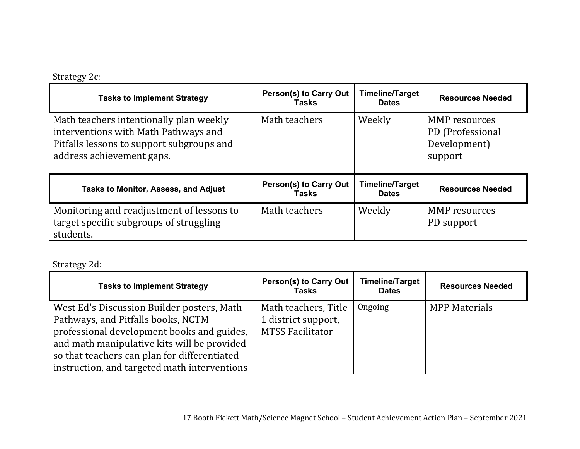# Strategy 2c:

| <b>Tasks to Implement Strategy</b>                                                                                                                        | <b>Person(s) to Carry Out</b><br>Tasks | <b>Timeline/Target</b><br><b>Dates</b> | <b>Resources Needed</b>                                      |
|-----------------------------------------------------------------------------------------------------------------------------------------------------------|----------------------------------------|----------------------------------------|--------------------------------------------------------------|
| Math teachers intentionally plan weekly<br>interventions with Math Pathways and<br>Pitfalls lessons to support subgroups and<br>address achievement gaps. | Math teachers                          | Weekly                                 | MMP resources<br>PD (Professional<br>Development)<br>support |
| Tasks to Monitor, Assess, and Adjust                                                                                                                      | <b>Person(s) to Carry Out</b><br>Tasks | <b>Timeline/Target</b><br><b>Dates</b> | <b>Resources Needed</b>                                      |
| Monitoring and readjustment of lessons to<br>target specific subgroups of struggling<br>students.                                                         | Math teachers                          | Weekly                                 | <b>MMP</b> resources<br>PD support                           |

Strategy 2d:

| <b>Tasks to Implement Strategy</b>                                                                                                                                                                                                                                            | <b>Person(s) to Carry Out</b><br>Tasks                                 | <b>Timeline/Target</b><br><b>Dates</b> | <b>Resources Needed</b> |
|-------------------------------------------------------------------------------------------------------------------------------------------------------------------------------------------------------------------------------------------------------------------------------|------------------------------------------------------------------------|----------------------------------------|-------------------------|
| West Ed's Discussion Builder posters, Math<br>Pathways, and Pitfalls books, NCTM<br>professional development books and guides,<br>and math manipulative kits will be provided<br>so that teachers can plan for differentiated<br>instruction, and targeted math interventions | Math teachers, Title<br>1 district support,<br><b>MTSS Facilitator</b> | Ongoing                                | <b>MPP Materials</b>    |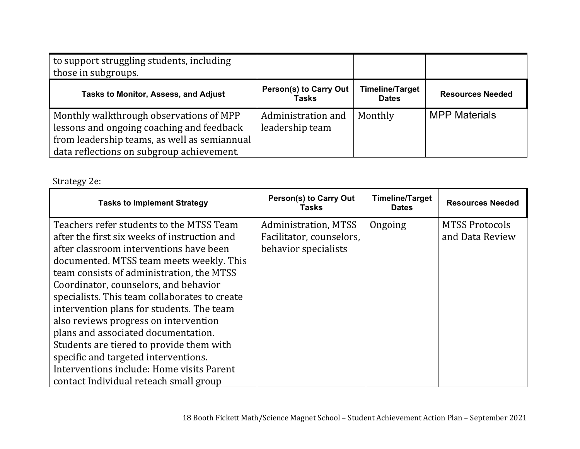| to support struggling students, including<br>those in subgroups.                                                                                                                  |                                               |                                        |                         |
|-----------------------------------------------------------------------------------------------------------------------------------------------------------------------------------|-----------------------------------------------|----------------------------------------|-------------------------|
| <b>Tasks to Monitor, Assess, and Adjust</b>                                                                                                                                       | <b>Person(s) to Carry Out</b><br><b>Tasks</b> | <b>Timeline/Target</b><br><b>Dates</b> | <b>Resources Needed</b> |
| Monthly walkthrough observations of MPP<br>lessons and ongoing coaching and feedback<br>from leadership teams, as well as semiannual<br>data reflections on subgroup achievement. | Administration and<br>leadership team         | Monthly                                | <b>MPP Materials</b>    |

# Strategy 2e:

| <b>Tasks to Implement Strategy</b>                                                                                                                                                                                                                                                                                                                                                                                                                                                                                                                                                   | <b>Person(s) to Carry Out</b><br>Tasks                                          | Timeline/Target<br><b>Dates</b> | <b>Resources Needed</b>                  |
|--------------------------------------------------------------------------------------------------------------------------------------------------------------------------------------------------------------------------------------------------------------------------------------------------------------------------------------------------------------------------------------------------------------------------------------------------------------------------------------------------------------------------------------------------------------------------------------|---------------------------------------------------------------------------------|---------------------------------|------------------------------------------|
| Teachers refer students to the MTSS Team<br>after the first six weeks of instruction and<br>after classroom interventions have been<br>documented. MTSS team meets weekly. This<br>team consists of administration, the MTSS<br>Coordinator, counselors, and behavior<br>specialists. This team collaborates to create<br>intervention plans for students. The team<br>also reviews progress on intervention<br>plans and associated documentation.<br>Students are tiered to provide them with<br>specific and targeted interventions.<br>Interventions include: Home visits Parent | <b>Administration, MTSS</b><br>Facilitator, counselors,<br>behavior specialists | Ongoing                         | <b>MTSS Protocols</b><br>and Data Review |
| contact Individual reteach small group                                                                                                                                                                                                                                                                                                                                                                                                                                                                                                                                               |                                                                                 |                                 |                                          |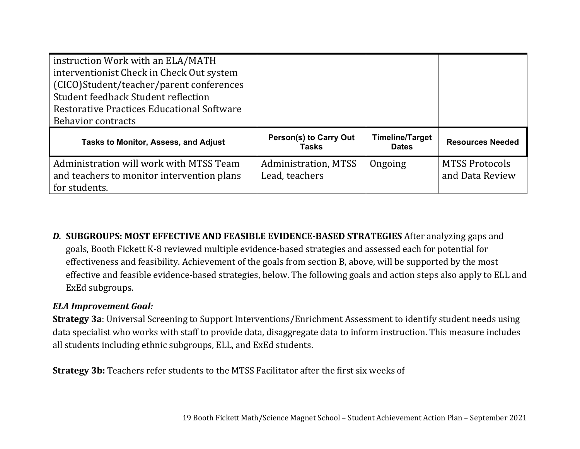| instruction Work with an ELA/MATH<br>interventionist Check in Check Out system<br>(CICO)Student/teacher/parent conferences<br>Student feedback Student reflection<br><b>Restorative Practices Educational Software</b><br><b>Behavior contracts</b> |                                               |                                        |                                          |
|-----------------------------------------------------------------------------------------------------------------------------------------------------------------------------------------------------------------------------------------------------|-----------------------------------------------|----------------------------------------|------------------------------------------|
|                                                                                                                                                                                                                                                     |                                               |                                        |                                          |
| Tasks to Monitor, Assess, and Adjust                                                                                                                                                                                                                | <b>Person(s) to Carry Out</b><br>Tasks        | <b>Timeline/Target</b><br><b>Dates</b> | <b>Resources Needed</b>                  |
| Administration will work with MTSS Team<br>and teachers to monitor intervention plans<br>for students.                                                                                                                                              | <b>Administration, MTSS</b><br>Lead, teachers | Ongoing                                | <b>MTSS Protocols</b><br>and Data Review |

*D.* **SUBGROUPS: MOST EFFECTIVE AND FEASIBLE EVIDENCE‐BASED STRATEGIES** After analyzing gaps and goals, Booth Fickett K-8 reviewed multiple evidence-based strategies and assessed each for potential for effectiveness and feasibility. Achievement of the goals from section B, above, will be supported by the most effective and feasible evidence-based strategies, below. The following goals and action steps also apply to ELL and ExEd subgroups.

### *ELA Improvement Goal:*

**Strategy 3a**: Universal Screening to Support Interventions/Enrichment Assessment to identify student needs using data specialist who works with staff to provide data, disaggregate data to inform instruction. This measure includes all students including ethnic subgroups, ELL, and ExEd students.

**Strategy 3b:** Teachers refer students to the MTSS Facilitator after the first six weeks of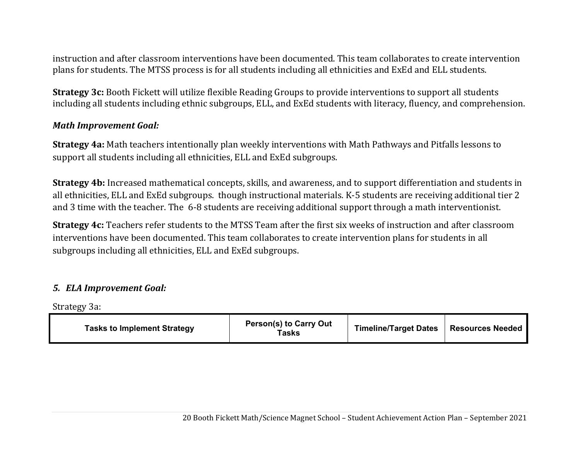instruction and after classroom interventions have been documented. This team collaborates to create intervention plans for students. The MTSS process is for all students including all ethnicities and ExEd and ELL students.

**Strategy 3c:** Booth Fickett will utilize flexible Reading Groups to provide interventions to support all students including all students including ethnic subgroups, ELL, and ExEd students with literacy, fluency, and comprehension.

#### *Math Improvement Goal:*

**Strategy 4a:** Math teachers intentionally plan weekly interventions with Math Pathways and Pitfalls lessons to support all students including all ethnicities, ELL and ExEd subgroups.

**Strategy 4b:** Increased mathematical concepts, skills, and awareness, and to support differentiation and students in all ethnicities, ELL and ExEd subgroups. though instructional materials. K-5 students are receiving additional tier 2 and 3 time with the teacher. The 6-8 students are receiving additional support through a math interventionist.

**Strategy 4c:** Teachers refer students to the MTSS Team after the first six weeks of instruction and after classroom interventions have been documented. This team collaborates to create intervention plans for students in all subgroups including all ethnicities, ELL and ExEd subgroups.

### *5. ELA Improvement Goal:*

Strategy 3a:

| <b>Tasks to Implement Strategy</b> | <b>Person(s) to Carry Out</b><br>Tasks | <b>Timeline/Target Dates</b> | <b>Resources Needed</b> |
|------------------------------------|----------------------------------------|------------------------------|-------------------------|
|------------------------------------|----------------------------------------|------------------------------|-------------------------|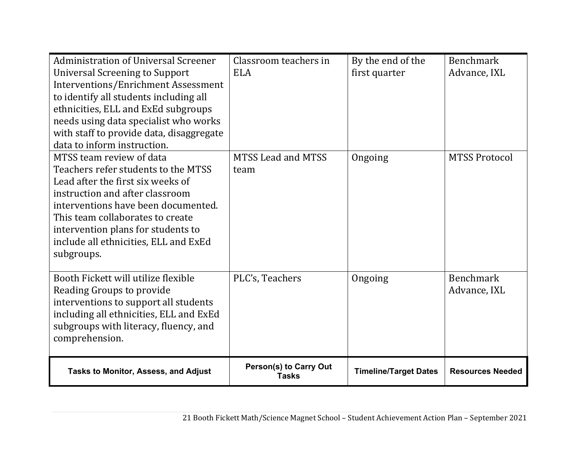| <b>Administration of Universal Screener</b> | Classroom teachers in         | By the end of the            | <b>Benchmark</b>        |
|---------------------------------------------|-------------------------------|------------------------------|-------------------------|
| Universal Screening to Support              | <b>ELA</b>                    | first quarter                | Advance, IXL            |
| Interventions/Enrichment Assessment         |                               |                              |                         |
| to identify all students including all      |                               |                              |                         |
| ethnicities, ELL and ExEd subgroups         |                               |                              |                         |
| needs using data specialist who works       |                               |                              |                         |
| with staff to provide data, disaggregate    |                               |                              |                         |
| data to inform instruction.                 |                               |                              |                         |
| MTSS team review of data                    | <b>MTSS Lead and MTSS</b>     | Ongoing                      | <b>MTSS Protocol</b>    |
| Teachers refer students to the MTSS         | team                          |                              |                         |
| Lead after the first six weeks of           |                               |                              |                         |
| instruction and after classroom             |                               |                              |                         |
| interventions have been documented.         |                               |                              |                         |
| This team collaborates to create            |                               |                              |                         |
| intervention plans for students to          |                               |                              |                         |
| include all ethnicities, ELL and ExEd       |                               |                              |                         |
| subgroups.                                  |                               |                              |                         |
|                                             |                               |                              |                         |
| Booth Fickett will utilize flexible         | PLC's, Teachers               | Ongoing                      | <b>Benchmark</b>        |
| Reading Groups to provide                   |                               |                              | Advance, IXL            |
| interventions to support all students       |                               |                              |                         |
| including all ethnicities, ELL and ExEd     |                               |                              |                         |
| subgroups with literacy, fluency, and       |                               |                              |                         |
| comprehension.                              |                               |                              |                         |
| Tasks to Monitor, Assess, and Adjust        | <b>Person(s) to Carry Out</b> | <b>Timeline/Target Dates</b> | <b>Resources Needed</b> |
|                                             | Tasks                         |                              |                         |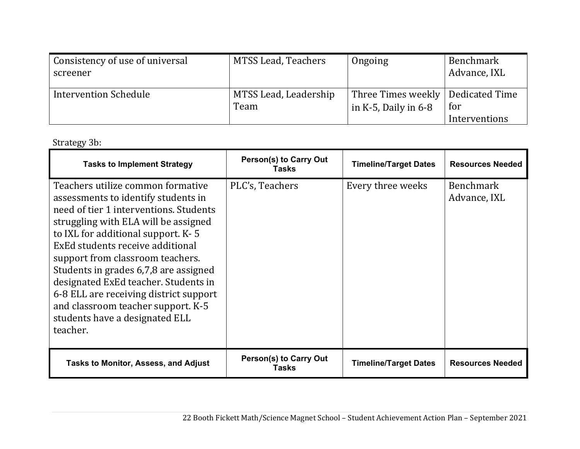| Consistency of use of universal<br>screener | MTSS Lead, Teachers   | Ongoing                             | Benchmark<br>Advance, IXL |
|---------------------------------------------|-----------------------|-------------------------------------|---------------------------|
| <b>Intervention Schedule</b>                | MTSS Lead, Leadership | Three Times weekly   Dedicated Time | for                       |
|                                             | Team                  | in $K-5$ , Daily in 6-8             | Interventions             |

# Strategy 3b:

| <b>Tasks to Implement Strategy</b>                                                                                                                                                                                                                                                                                                                                                                                                                                                      | <b>Person(s) to Carry Out</b><br>Tasks | <b>Timeline/Target Dates</b> | <b>Resources Needed</b>          |
|-----------------------------------------------------------------------------------------------------------------------------------------------------------------------------------------------------------------------------------------------------------------------------------------------------------------------------------------------------------------------------------------------------------------------------------------------------------------------------------------|----------------------------------------|------------------------------|----------------------------------|
| Teachers utilize common formative<br>assessments to identify students in<br>need of tier 1 interventions. Students<br>struggling with ELA will be assigned<br>to IXL for additional support. K-5<br>ExEd students receive additional<br>support from classroom teachers.<br>Students in grades 6,7,8 are assigned<br>designated ExEd teacher. Students in<br>6-8 ELL are receiving district support<br>and classroom teacher support. K-5<br>students have a designated ELL<br>teacher. | PLC's, Teachers                        | Every three weeks            | <b>Benchmark</b><br>Advance, IXL |
| <b>Tasks to Monitor, Assess, and Adjust</b>                                                                                                                                                                                                                                                                                                                                                                                                                                             | <b>Person(s) to Carry Out</b><br>Tasks | <b>Timeline/Target Dates</b> | <b>Resources Needed</b>          |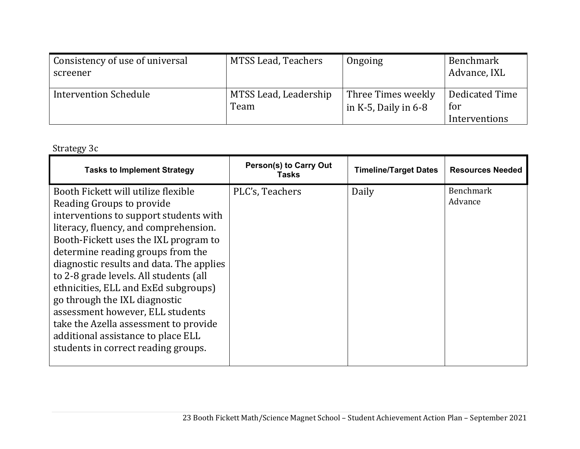| Consistency of use of universal<br>screener | MTSS Lead, Teachers           | Ongoing                                       | Benchmark<br>Advance, IXL              |
|---------------------------------------------|-------------------------------|-----------------------------------------------|----------------------------------------|
| <b>Intervention Schedule</b>                | MTSS Lead, Leadership<br>Team | Three Times weekly<br>in $K-5$ , Daily in 6-8 | Dedicated Time<br>for<br>Interventions |

Strategy 3c

| <b>Tasks to Implement Strategy</b>                                                                                                                                                                                                                                                                                                                                                                                                                                                                                  | Person(s) to Carry Out<br>Tasks | <b>Timeline/Target Dates</b> | <b>Resources Needed</b>     |
|---------------------------------------------------------------------------------------------------------------------------------------------------------------------------------------------------------------------------------------------------------------------------------------------------------------------------------------------------------------------------------------------------------------------------------------------------------------------------------------------------------------------|---------------------------------|------------------------------|-----------------------------|
| Booth Fickett will utilize flexible<br>Reading Groups to provide<br>interventions to support students with<br>literacy, fluency, and comprehension.<br>Booth-Fickett uses the IXL program to<br>determine reading groups from the<br>diagnostic results and data. The applies<br>to 2-8 grade levels. All students (all<br>ethnicities, ELL and ExEd subgroups)<br>go through the IXL diagnostic<br>assessment however, ELL students<br>take the Azella assessment to provide<br>additional assistance to place ELL | PLC's, Teachers                 | Daily                        | <b>Benchmark</b><br>Advance |
| students in correct reading groups.                                                                                                                                                                                                                                                                                                                                                                                                                                                                                 |                                 |                              |                             |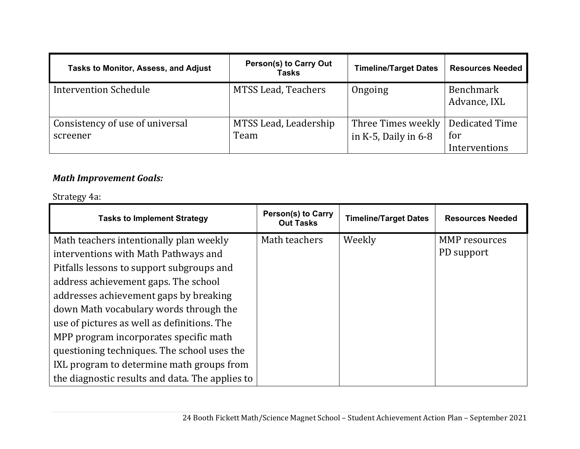| <b>Tasks to Monitor, Assess, and Adjust</b> | <b>Person(s) to Carry Out</b><br><b>Tasks</b> | <b>Timeline/Target Dates</b>                    | <b>Resources Needed</b>                |
|---------------------------------------------|-----------------------------------------------|-------------------------------------------------|----------------------------------------|
| <b>Intervention Schedule</b>                | MTSS Lead, Teachers                           | Ongoing                                         | Benchmark<br>Advance, IXL              |
| Consistency of use of universal<br>screener | MTSS Lead, Leadership<br>Team                 | Three Times weekly<br>in $K-5$ , Daily in $6-8$ | Dedicated Time<br>for<br>Interventions |

#### *Math Improvement Goals:*

### Strategy 4a:

| <b>Tasks to Implement Strategy</b>              | <b>Person(s) to Carry</b><br><b>Out Tasks</b> | <b>Timeline/Target Dates</b> | <b>Resources Needed</b> |
|-------------------------------------------------|-----------------------------------------------|------------------------------|-------------------------|
| Math teachers intentionally plan weekly         | Math teachers                                 | Weekly                       | <b>MMP</b> resources    |
| interventions with Math Pathways and            |                                               |                              | PD support              |
| Pitfalls lessons to support subgroups and       |                                               |                              |                         |
| address achievement gaps. The school            |                                               |                              |                         |
| addresses achievement gaps by breaking          |                                               |                              |                         |
| down Math vocabulary words through the          |                                               |                              |                         |
| use of pictures as well as definitions. The     |                                               |                              |                         |
| MPP program incorporates specific math          |                                               |                              |                         |
| questioning techniques. The school uses the     |                                               |                              |                         |
| IXL program to determine math groups from       |                                               |                              |                         |
| the diagnostic results and data. The applies to |                                               |                              |                         |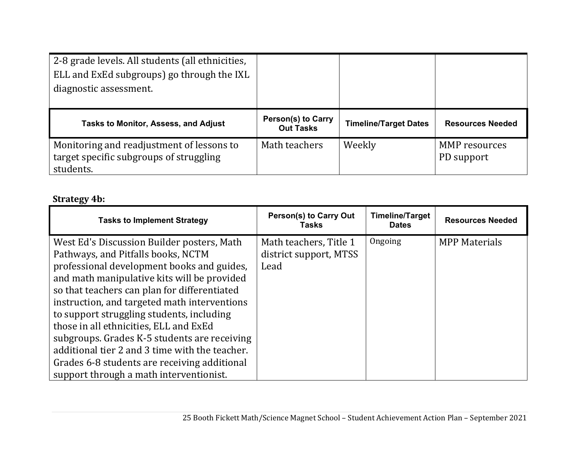| 2-8 grade levels. All students (all ethnicities,<br>ELL and ExEd subgroups) go through the IXL<br>diagnostic assessment. |                                               |                              |                             |
|--------------------------------------------------------------------------------------------------------------------------|-----------------------------------------------|------------------------------|-----------------------------|
| Tasks to Monitor, Assess, and Adjust                                                                                     | <b>Person(s) to Carry</b><br><b>Out Tasks</b> | <b>Timeline/Target Dates</b> | <b>Resources Needed</b>     |
| Monitoring and readjustment of lessons to<br>target specific subgroups of struggling<br>students.                        | Math teachers                                 | Weekly                       | MMP resources<br>PD support |

# **Strategy 4b:**

| <b>Tasks to Implement Strategy</b>             | <b>Person(s) to Carry Out</b><br>Tasks | <b>Timeline/Target</b><br><b>Dates</b> | <b>Resources Needed</b> |
|------------------------------------------------|----------------------------------------|----------------------------------------|-------------------------|
| West Ed's Discussion Builder posters, Math     | Math teachers, Title 1                 | Ongoing                                | <b>MPP Materials</b>    |
| Pathways, and Pitfalls books, NCTM             | district support, MTSS                 |                                        |                         |
| professional development books and guides,     | Lead                                   |                                        |                         |
| and math manipulative kits will be provided    |                                        |                                        |                         |
| so that teachers can plan for differentiated   |                                        |                                        |                         |
| instruction, and targeted math interventions   |                                        |                                        |                         |
| to support struggling students, including      |                                        |                                        |                         |
| those in all ethnicities, ELL and ExEd         |                                        |                                        |                         |
| subgroups. Grades K-5 students are receiving   |                                        |                                        |                         |
| additional tier 2 and 3 time with the teacher. |                                        |                                        |                         |
| Grades 6-8 students are receiving additional   |                                        |                                        |                         |
| support through a math interventionist.        |                                        |                                        |                         |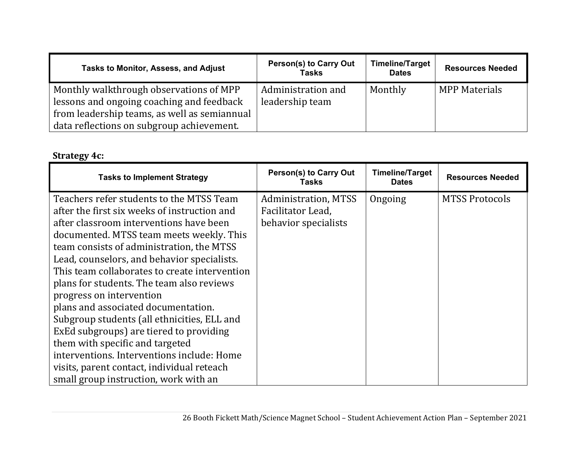| Tasks to Monitor, Assess, and Adjust                                                                                                                                              | <b>Person(s) to Carry Out</b><br><b>Tasks</b> | <b>Timeline/Target</b><br><b>Dates</b> | <b>Resources Needed</b> |
|-----------------------------------------------------------------------------------------------------------------------------------------------------------------------------------|-----------------------------------------------|----------------------------------------|-------------------------|
| Monthly walkthrough observations of MPP<br>lessons and ongoing coaching and feedback<br>from leadership teams, as well as semiannual<br>data reflections on subgroup achievement. | Administration and<br>leadership team         | Monthly                                | <b>MPP Materials</b>    |

# **Strategy 4c:**

| <b>Tasks to Implement Strategy</b>                                                                                                                                                                                                                                                                                                                                                                                                                                                                                                                                                                                                                                    | <b>Person(s) to Carry Out</b><br><b>Tasks</b>                     | <b>Timeline/Target</b><br><b>Dates</b> | <b>Resources Needed</b> |
|-----------------------------------------------------------------------------------------------------------------------------------------------------------------------------------------------------------------------------------------------------------------------------------------------------------------------------------------------------------------------------------------------------------------------------------------------------------------------------------------------------------------------------------------------------------------------------------------------------------------------------------------------------------------------|-------------------------------------------------------------------|----------------------------------------|-------------------------|
| Teachers refer students to the MTSS Team<br>after the first six weeks of instruction and<br>after classroom interventions have been<br>documented. MTSS team meets weekly. This<br>team consists of administration, the MTSS<br>Lead, counselors, and behavior specialists.<br>This team collaborates to create intervention<br>plans for students. The team also reviews<br>progress on intervention<br>plans and associated documentation.<br>Subgroup students (all ethnicities, ELL and<br>ExEd subgroups) are tiered to providing<br>them with specific and targeted<br>interventions. Interventions include: Home<br>visits, parent contact, individual reteach | Administration, MTSS<br>Facilitator Lead,<br>behavior specialists | Ongoing                                | <b>MTSS Protocols</b>   |
| small group instruction, work with an                                                                                                                                                                                                                                                                                                                                                                                                                                                                                                                                                                                                                                 |                                                                   |                                        |                         |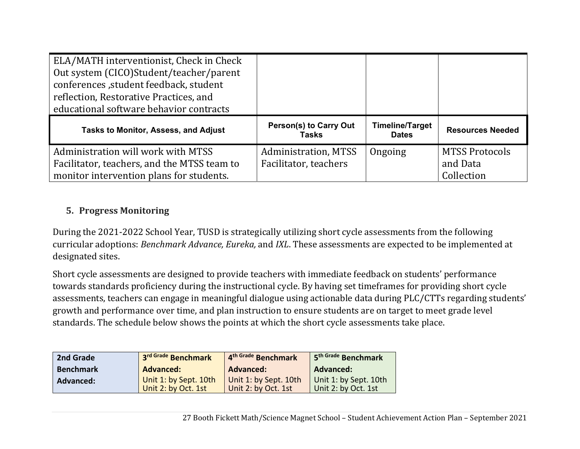| ELA/MATH interventionist, Check in Check<br>Out system (CICO)Student/teacher/parent<br>conferences , student feedback, student<br>reflection, Restorative Practices, and<br>educational software behavior contracts |                               |                 |                         |
|---------------------------------------------------------------------------------------------------------------------------------------------------------------------------------------------------------------------|-------------------------------|-----------------|-------------------------|
| <b>Tasks to Monitor, Assess, and Adjust</b>                                                                                                                                                                         | <b>Person(s) to Carry Out</b> | Timeline/Target | <b>Resources Needed</b> |
|                                                                                                                                                                                                                     | <b>Tasks</b>                  | <b>Dates</b>    |                         |
| Administration will work with MTSS                                                                                                                                                                                  |                               |                 |                         |
|                                                                                                                                                                                                                     | <b>Administration, MTSS</b>   | Ongoing         | <b>MTSS Protocols</b>   |
| Facilitator, teachers, and the MTSS team to                                                                                                                                                                         | Facilitator, teachers         |                 | and Data                |

#### **5. Progress Monitoring**

During the 2021-2022 School Year, TUSD is strategically utilizing short cycle assessments from the following curricular adoptions: *Benchmark Advance, Eureka,* and *IXL*. These assessments are expected to be implemented at designated sites.

Short cycle assessments are designed to provide teachers with immediate feedback on students' performance towards standards proficiency during the instructional cycle. By having set timeframes for providing short cycle assessments, teachers can engage in meaningful dialogue using actionable data during PLC/CTTs regarding students' growth and performance over time, and plan instruction to ensure students are on target to meet grade level standards. The schedule below shows the points at which the short cycle assessments take place.

| 2nd Grade        | 3rd Grade Benchmark                          | 4th Grade Benchmark                          | 5 <sup>th Grade</sup> Benchmark              |
|------------------|----------------------------------------------|----------------------------------------------|----------------------------------------------|
| <b>Benchmark</b> | <b>Advanced:</b>                             | Advanced:                                    | <b>Advanced:</b>                             |
| Advanced:        | Unit 1: by Sept. 10th<br>Unit 2: by Oct. 1st | Unit 1: by Sept. 10th<br>Unit 2: by Oct. 1st | Unit 1: by Sept. 10th<br>Unit 2: by Oct. 1st |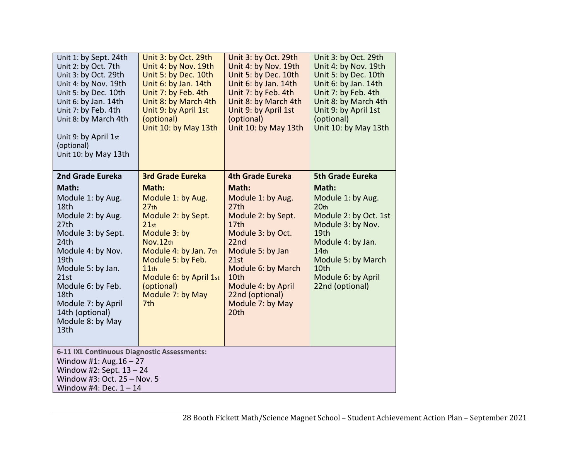| Unit 1: by Sept. 24th<br>Unit 2: by Oct. 7th<br>Unit 3: by Oct. 29th<br>Unit 4: by Nov. 19th<br>Unit 5: by Dec. 10th<br>Unit 6: by Jan. 14th<br>Unit 7: by Feb. 4th<br>Unit 8: by March 4th<br>Unit 9: by April 1st<br>(optional)<br>Unit 10: by May 13th | Unit 3: by Oct. 29th<br>Unit 4: by Nov. 19th<br>Unit 5: by Dec. 10th<br>Unit 6: by Jan. 14th<br>Unit 7: by Feb. 4th<br>Unit 8: by March 4th<br>Unit 9: by April 1st<br>(optional)<br>Unit 10: by May 13th | Unit 3: by Oct. 29th<br>Unit 4: by Nov. 19th<br>Unit 5: by Dec. 10th<br>Unit 6: by Jan. 14th<br>Unit 7: by Feb. 4th<br>Unit 8: by March 4th<br>Unit 9: by April 1st<br>(optional)<br>Unit 10: by May 13th | Unit 3: by Oct. 29th<br>Unit 4: by Nov. 19th<br>Unit 5: by Dec. 10th<br>Unit 6: by Jan. 14th<br>Unit 7: by Feb. 4th<br>Unit 8: by March 4th<br>Unit 9: by April 1st<br>(optional)<br>Unit 10: by May 13th |
|-----------------------------------------------------------------------------------------------------------------------------------------------------------------------------------------------------------------------------------------------------------|-----------------------------------------------------------------------------------------------------------------------------------------------------------------------------------------------------------|-----------------------------------------------------------------------------------------------------------------------------------------------------------------------------------------------------------|-----------------------------------------------------------------------------------------------------------------------------------------------------------------------------------------------------------|
| 2nd Grade Eureka<br>Math:<br>Module 1: by Aug.<br>18th<br>Module 2: by Aug.                                                                                                                                                                               | <b>3rd Grade Eureka</b><br>Math:<br>Module 1: by Aug.<br>27 <sub>th</sub><br>Module 2: by Sept.                                                                                                           | 4th Grade Eureka<br>Math:<br>Module 1: by Aug.<br>27th<br>Module 2: by Sept.                                                                                                                              | <b>5th Grade Eureka</b><br>Math:<br>Module 1: by Aug.<br>20 <sub>th</sub><br>Module 2: by Oct. 1st                                                                                                        |
| 27th<br>Module 3: by Sept.<br>24th<br>Module 4: by Nov.<br>19th                                                                                                                                                                                           | 21st<br>Module 3: by<br>Nov.12th<br>Module 4: by Jan. 7th<br>Module 5: by Feb.                                                                                                                            | 17 <sub>th</sub><br>Module 3: by Oct.<br>22 <sub>nd</sub><br>Module 5: by Jan<br>21st                                                                                                                     | Module 3: by Nov.<br>19th<br>Module 4: by Jan.<br>14 <sub>th</sub><br>Module 5: by March                                                                                                                  |
| Module 5: by Jan.<br>21st<br>Module 6: by Feb.<br>18th<br>Module 7: by April<br>14th (optional)                                                                                                                                                           | 11th<br>Module 6: by April 1st<br>(optional)<br>Module 7: by May<br>7 <sub>th</sub>                                                                                                                       | Module 6: by March<br>10th<br>Module 4: by April<br>22nd (optional)<br>Module 7: by May<br>20th                                                                                                           | 10th<br>Module 6: by April<br>22nd (optional)                                                                                                                                                             |
| Module 8: by May<br>13th                                                                                                                                                                                                                                  |                                                                                                                                                                                                           |                                                                                                                                                                                                           |                                                                                                                                                                                                           |
| 6-11 IXL Continuous Diagnostic Assessments:<br>Window #1: Aug. $16 - 27$<br>Window #2: Sept. $13 - 24$<br>Window #3: Oct. 25 - Nov. 5<br>Window #4: Dec. $1 - 14$                                                                                         |                                                                                                                                                                                                           |                                                                                                                                                                                                           |                                                                                                                                                                                                           |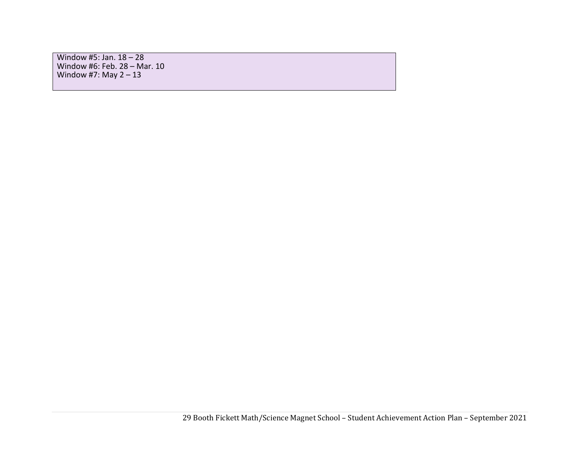Window #5: Jan. 18 – 28 Window #6: Feb. 28 – Mar. 10 Window #7: May  $2 - 13$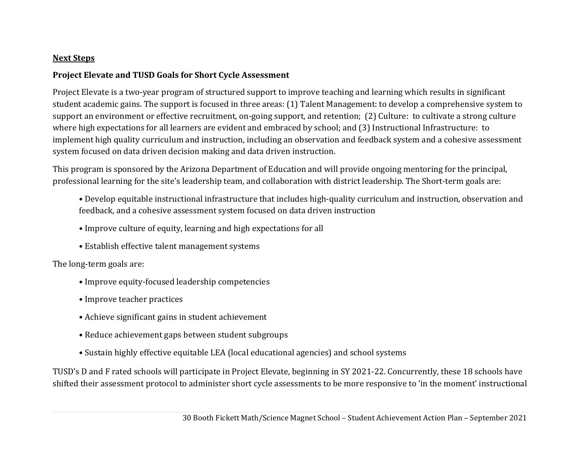#### **Next Steps**

#### **Project Elevate and TUSD Goals for Short Cycle Assessment**

Project Elevate is a two-year program of structured support to improve teaching and learning which results in significant student academic gains. The support is focused in three areas: (1) Talent Management: to develop a comprehensive system to support an environment or effective recruitment, on-going support, and retention; (2) Culture: to cultivate a strong culture where high expectations for all learners are evident and embraced by school; and (3) Instructional Infrastructure: to implement high quality curriculum and instruction, including an observation and feedback system and a cohesive assessment system focused on data driven decision making and data driven instruction.

This program is sponsored by the Arizona Department of Education and will provide ongoing mentoring for the principal, professional learning for the site's leadership team, and collaboration with district leadership. The Short-term goals are:

- Develop equitable instructional infrastructure that includes high-quality curriculum and instruction, observation and feedback, and a cohesive assessment system focused on data driven instruction
- Improve culture of equity, learning and high expectations for all
- Establish effective talent management systems

The long-term goals are:

- Improve equity-focused leadership competencies
- Improve teacher practices
- Achieve significant gains in student achievement
- Reduce achievement gaps between student subgroups
- Sustain highly effective equitable LEA (local educational agencies) and school systems

TUSD's D and F rated schools will participate in Project Elevate, beginning in SY 2021-22. Concurrently, these 18 schools have shifted their assessment protocol to administer short cycle assessments to be more responsive to 'in the moment' instructional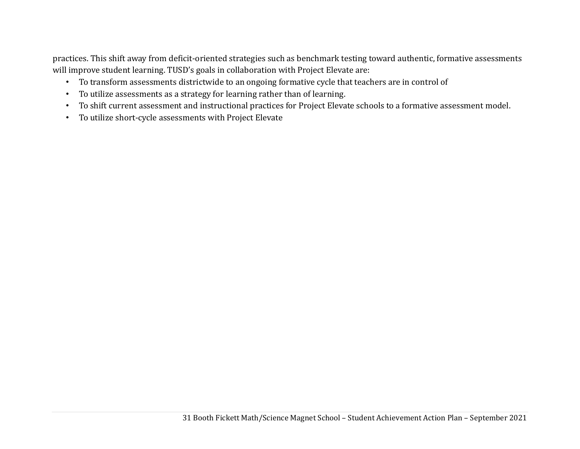practices. This shift away from deficit-oriented strategies such as benchmark testing toward authentic, formative assessments will improve student learning. TUSD's goals in collaboration with Project Elevate are:

- To transform assessments districtwide to an ongoing formative cycle that teachers are in control of
- To utilize assessments as a strategy for learning rather than of learning.
- To shift current assessment and instructional practices for Project Elevate schools to a formative assessment model.
- To utilize short-cycle assessments with Project Elevate